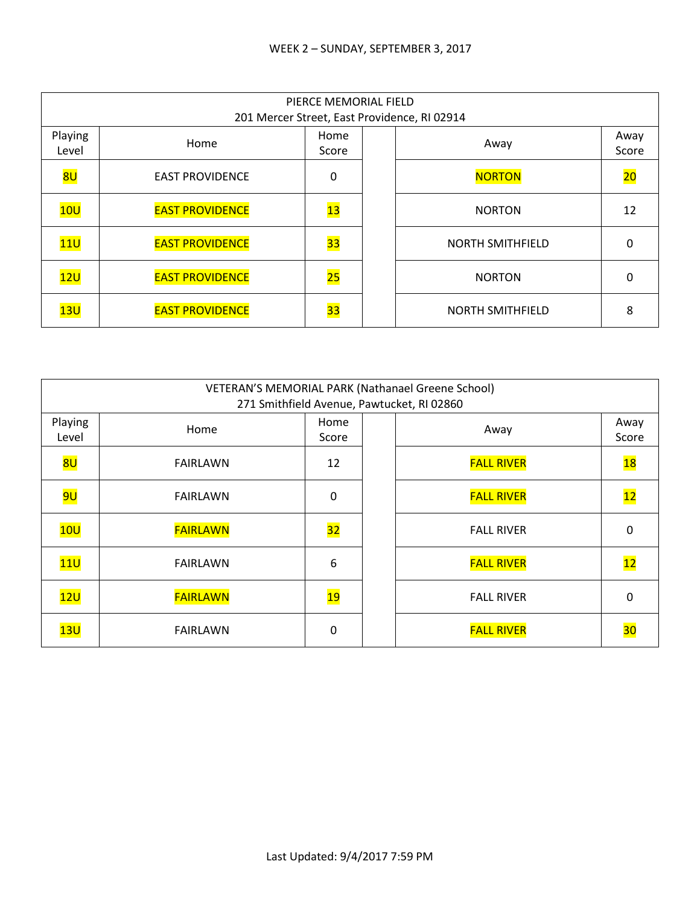|                  | PIERCE MEMORIAL FIELD<br>201 Mercer Street, East Providence, RI 02914 |                 |  |                         |               |  |  |
|------------------|-----------------------------------------------------------------------|-----------------|--|-------------------------|---------------|--|--|
| Playing<br>Level | Home                                                                  | Home<br>Score   |  | Away                    | Away<br>Score |  |  |
| 8U               | <b>EAST PROVIDENCE</b>                                                | 0               |  | <b>NORTON</b>           | 20            |  |  |
| 10U              | <b>EAST PROVIDENCE</b>                                                | 13              |  | <b>NORTON</b>           | 12            |  |  |
| 11U              | <b>EAST PROVIDENCE</b>                                                | 33              |  | <b>NORTH SMITHFIELD</b> | 0             |  |  |
| 12U              | <b>EAST PROVIDENCE</b>                                                | 25              |  | <b>NORTON</b>           | 0             |  |  |
| 13U              | <b>EAST PROVIDENCE</b>                                                | $\overline{33}$ |  | <b>NORTH SMITHFIELD</b> | 8             |  |  |

| VETERAN'S MEMORIAL PARK (Nathanael Greene School)<br>271 Smithfield Avenue, Pawtucket, RI 02860 |                 |               |  |                   |               |  |
|-------------------------------------------------------------------------------------------------|-----------------|---------------|--|-------------------|---------------|--|
| Playing<br>Level                                                                                | Home            | Home<br>Score |  | Away              | Away<br>Score |  |
| <mark>8U</mark>                                                                                 | <b>FAIRLAWN</b> | 12            |  | <b>FALL RIVER</b> | 18            |  |
| <mark>9U</mark>                                                                                 | <b>FAIRLAWN</b> | 0             |  | <b>FALL RIVER</b> | 12            |  |
| 10U                                                                                             | <b>FAIRLAWN</b> | 32            |  | <b>FALL RIVER</b> | 0             |  |
| 11 <sub>U</sub>                                                                                 | <b>FAIRLAWN</b> | 6             |  | <b>FALL RIVER</b> | 12            |  |
| 12U                                                                                             | <b>FAIRLAWN</b> | <u> 19</u>    |  | <b>FALL RIVER</b> | 0             |  |
| 13U                                                                                             | <b>FAIRLAWN</b> | 0             |  | <b>FALL RIVER</b> | 30            |  |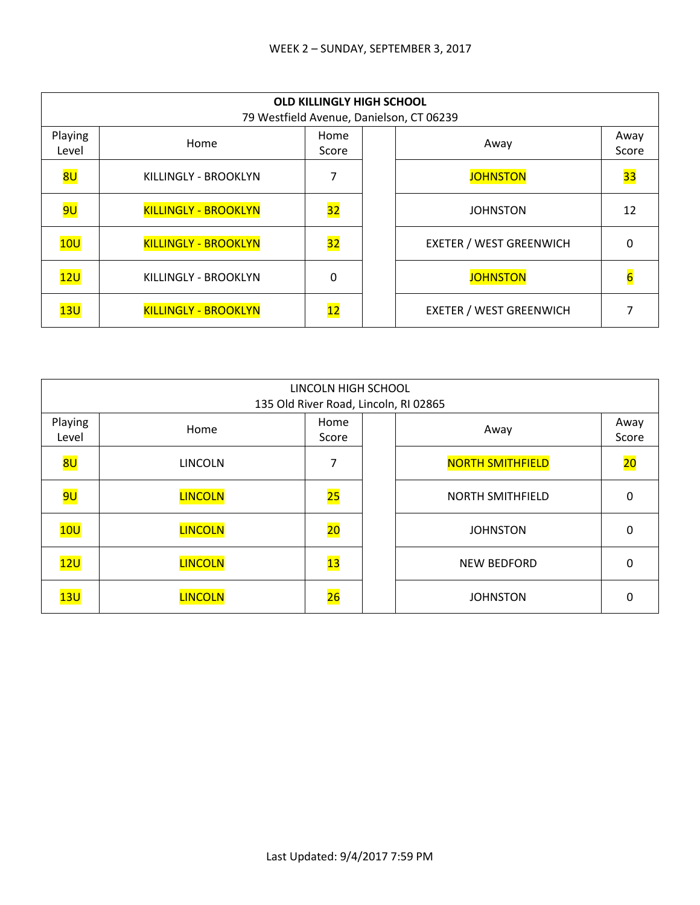|                  | <b>OLD KILLINGLY HIGH SCHOOL</b><br>79 Westfield Avenue, Danielson, CT 06239 |               |  |                                |               |  |  |
|------------------|------------------------------------------------------------------------------|---------------|--|--------------------------------|---------------|--|--|
| Playing<br>Level | Home                                                                         | Home<br>Score |  | Away                           | Away<br>Score |  |  |
| 8U               | KILLINGLY - BROOKLYN                                                         |               |  | <b>JOHNSTON</b>                | <b>33</b>     |  |  |
| <mark>9U</mark>  | <b>KILLINGLY - BROOKLYN</b>                                                  | 32            |  | <b>JOHNSTON</b>                | 12            |  |  |
| 10U              | <b>KILLINGLY - BROOKLYN</b>                                                  | 32            |  | <b>EXETER / WEST GREENWICH</b> | O             |  |  |
| 12U              | KILLINGLY - BROOKLYN                                                         | 0             |  | <b>JOHNSTON</b>                |               |  |  |
| 13U              | <b>KILLINGLY - BROOKLYN</b>                                                  | 12            |  | <b>EXETER / WEST GREENWICH</b> |               |  |  |

|                  | LINCOLN HIGH SCHOOL<br>135 Old River Road, Lincoln, RI 02865 |                 |  |                         |               |  |  |
|------------------|--------------------------------------------------------------|-----------------|--|-------------------------|---------------|--|--|
| Playing<br>Level | Home                                                         | Home<br>Score   |  | Away                    | Away<br>Score |  |  |
| 8U               | <b>LINCOLN</b>                                               | 7               |  | <b>NORTH SMITHFIELD</b> | 20            |  |  |
| <mark>9U</mark>  | <b>LINCOLN</b>                                               | 25              |  | <b>NORTH SMITHFIELD</b> | 0             |  |  |
| 10U              | <b>LINCOLN</b>                                               | $\overline{20}$ |  | <b>JOHNSTON</b>         | 0             |  |  |
| 12U              | <b>LINCOLN</b>                                               | 13              |  | <b>NEW BEDFORD</b>      | 0             |  |  |
| 13U              | <b>LINCOLN</b>                                               | $\overline{26}$ |  | <b>JOHNSTON</b>         | 0             |  |  |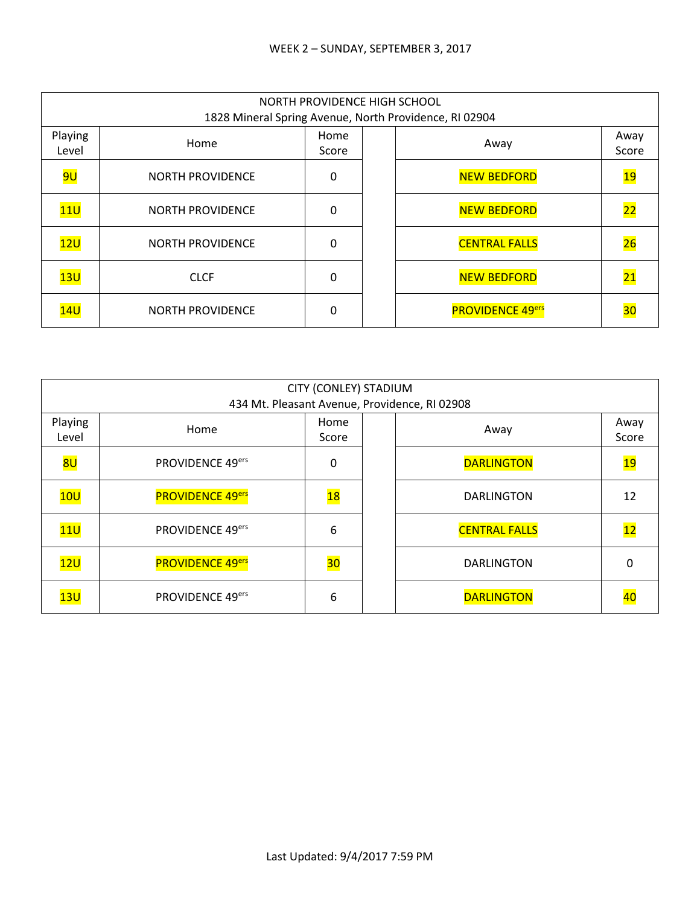|                  | NORTH PROVIDENCE HIGH SCHOOL<br>1828 Mineral Spring Avenue, North Providence, RI 02904 |               |  |                         |               |  |  |
|------------------|----------------------------------------------------------------------------------------|---------------|--|-------------------------|---------------|--|--|
| Playing<br>Level | Home                                                                                   | Home<br>Score |  | Away                    | Away<br>Score |  |  |
| 9U               | <b>NORTH PROVIDENCE</b>                                                                | 0             |  | <b>NEW BEDFORD</b>      | 19            |  |  |
| 11 <sub>U</sub>  | <b>NORTH PROVIDENCE</b>                                                                | $\Omega$      |  | <b>NEW BEDFORD</b>      | 22            |  |  |
| 12U              | <b>NORTH PROVIDENCE</b>                                                                | 0             |  | <b>CENTRAL FALLS</b>    | 26            |  |  |
| 13U              | <b>CLCF</b>                                                                            | 0             |  | <b>NEW BEDFORD</b>      | 21            |  |  |
| 14U              | <b>NORTH PROVIDENCE</b>                                                                | 0             |  | <b>PROVIDENCE 49ers</b> | 30            |  |  |

|                  | CITY (CONLEY) STADIUM<br>434 Mt. Pleasant Avenue, Providence, RI 02908 |               |  |                      |                 |  |  |
|------------------|------------------------------------------------------------------------|---------------|--|----------------------|-----------------|--|--|
| Playing<br>Level | Home                                                                   | Home<br>Score |  | Away                 | Away<br>Score   |  |  |
| 8U               | PROVIDENCE 49ers                                                       | 0             |  | <b>DARLINGTON</b>    | 19              |  |  |
| 10U              | <b>PROVIDENCE 49ers</b>                                                | <b>18</b>     |  | <b>DARLINGTON</b>    | 12              |  |  |
| 11 <sub>U</sub>  | PROVIDENCE 49ers                                                       | 6             |  | <b>CENTRAL FALLS</b> | $\overline{12}$ |  |  |
| 12U              | <b>PROVIDENCE 49ers</b>                                                | 30            |  | <b>DARLINGTON</b>    | 0               |  |  |
| 13U              | PROVIDENCE 49ers                                                       | 6             |  | <b>DARLINGTON</b>    | 40              |  |  |